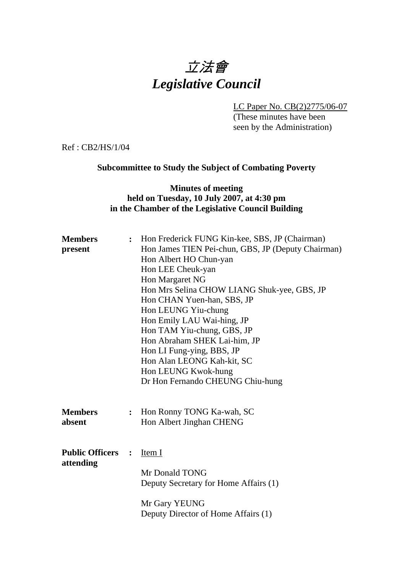# 立法會 *Legislative Council*

LC Paper No. CB(2)2775/06-07

(These minutes have been seen by the Administration)

Ref : CB2/HS/1/04

## **Subcommittee to Study the Subject of Combating Poverty**

## **Minutes of meeting held on Tuesday, 10 July 2007, at 4:30 pm in the Chamber of the Legislative Council Building**

| <b>Members</b><br>present           |                | : Hon Frederick FUNG Kin-kee, SBS, JP (Chairman)<br>Hon James TIEN Pei-chun, GBS, JP (Deputy Chairman)<br>Hon Albert HO Chun-yan<br>Hon LEE Cheuk-yan<br>Hon Margaret NG<br>Hon Mrs Selina CHOW LIANG Shuk-yee, GBS, JP<br>Hon CHAN Yuen-han, SBS, JP<br>Hon LEUNG Yiu-chung<br>Hon Emily LAU Wai-hing, JP<br>Hon TAM Yiu-chung, GBS, JP<br>Hon Abraham SHEK Lai-him, JP<br>Hon LI Fung-ying, BBS, JP<br>Hon Alan LEONG Kah-kit, SC<br>Hon LEUNG Kwok-hung<br>Dr Hon Fernando CHEUNG Chiu-hung |
|-------------------------------------|----------------|------------------------------------------------------------------------------------------------------------------------------------------------------------------------------------------------------------------------------------------------------------------------------------------------------------------------------------------------------------------------------------------------------------------------------------------------------------------------------------------------|
| <b>Members</b><br>absent            | $\ddot{\cdot}$ | Hon Ronny TONG Ka-wah, SC<br>Hon Albert Jinghan CHENG                                                                                                                                                                                                                                                                                                                                                                                                                                          |
| <b>Public Officers</b><br>attending | $\ddot{\cdot}$ | Item I<br>Mr Donald TONG<br>Deputy Secretary for Home Affairs (1)<br>Mr Gary YEUNG<br>Deputy Director of Home Affairs (1)                                                                                                                                                                                                                                                                                                                                                                      |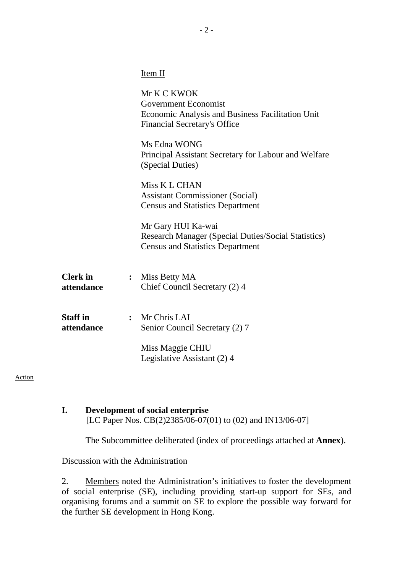|                                                 | Item II                                                                                                                               |
|-------------------------------------------------|---------------------------------------------------------------------------------------------------------------------------------------|
|                                                 | Mr K C KWOK<br><b>Government Economist</b><br>Economic Analysis and Business Facilitation Unit<br><b>Financial Secretary's Office</b> |
|                                                 | Ms Edna WONG<br>Principal Assistant Secretary for Labour and Welfare<br>(Special Duties)                                              |
|                                                 | Miss K L CHAN<br><b>Assistant Commissioner (Social)</b><br><b>Census and Statistics Department</b>                                    |
|                                                 | Mr Gary HUI Ka-wai<br><b>Research Manager (Special Duties/Social Statistics)</b><br><b>Census and Statistics Department</b>           |
| <b>Clerk</b> in<br>$\ddot{\cdot}$<br>attendance | Miss Betty MA<br>Chief Council Secretary (2) 4                                                                                        |
| <b>Staff</b> in<br>$\ddot{\cdot}$<br>attendance | Mr Chris LAI<br>Senior Council Secretary (2) 7<br>Miss Maggie CHIU<br>Legislative Assistant (2) 4                                     |
|                                                 |                                                                                                                                       |

#### Action

# **I. Development of social enterprise**  [LC Paper Nos. CB(2)2385/06-07(01) to (02) and IN13/06-07]

1. The Subcommittee deliberated (index of proceedings attached at **Annex**).

#### Discussion with the Administration

2. Members noted the Administration's initiatives to foster the development of social enterprise (SE), including providing start-up support for SEs, and organising forums and a summit on SE to explore the possible way forward for the further SE development in Hong Kong.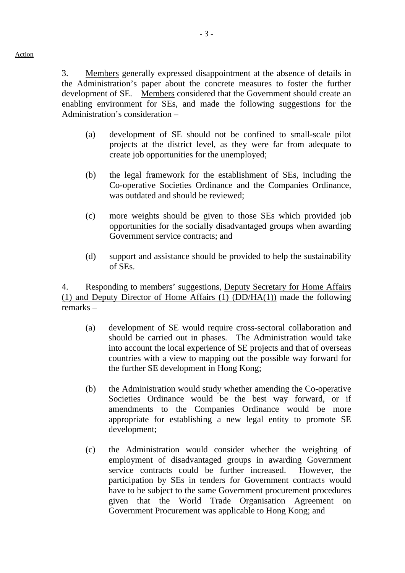Action

3. Members generally expressed disappointment at the absence of details in the Administration's paper about the concrete measures to foster the further development of SE. Members considered that the Government should create an enabling environment for SEs, and made the following suggestions for the Administration's consideration –

- (a) development of SE should not be confined to small-scale pilot projects at the district level, as they were far from adequate to create job opportunities for the unemployed;
- (b) the legal framework for the establishment of SEs, including the Co-operative Societies Ordinance and the Companies Ordinance, was outdated and should be reviewed;
- (c) more weights should be given to those SEs which provided job opportunities for the socially disadvantaged groups when awarding Government service contracts; and
- (d) support and assistance should be provided to help the sustainability of SEs.

4. Responding to members' suggestions, Deputy Secretary for Home Affairs (1) and Deputy Director of Home Affairs (1) (DD/HA(1)) made the following remarks –

- (a) development of SE would require cross-sectoral collaboration and should be carried out in phases. The Administration would take into account the local experience of SE projects and that of overseas countries with a view to mapping out the possible way forward for the further SE development in Hong Kong;
- (b) the Administration would study whether amending the Co-operative Societies Ordinance would be the best way forward, or if amendments to the Companies Ordinance would be more appropriate for establishing a new legal entity to promote SE development;
- (c) the Administration would consider whether the weighting of employment of disadvantaged groups in awarding Government service contracts could be further increased. However, the participation by SEs in tenders for Government contracts would have to be subject to the same Government procurement procedures given that the World Trade Organisation Agreement on Government Procurement was applicable to Hong Kong; and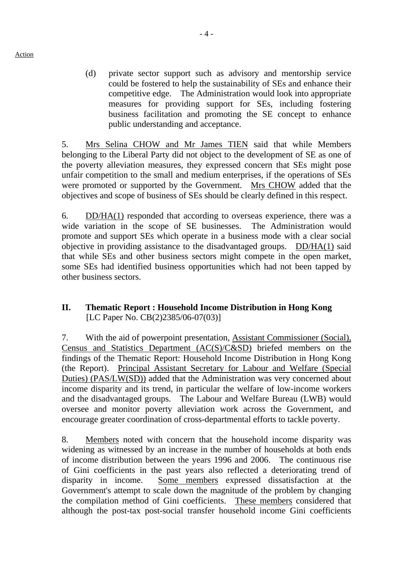(d) private sector support such as advisory and mentorship service could be fostered to help the sustainability of SEs and enhance their competitive edge. The Administration would look into appropriate measures for providing support for SEs, including fostering business facilitation and promoting the SE concept to enhance public understanding and acceptance.

5. Mrs Selina CHOW and Mr James TIEN said that while Members belonging to the Liberal Party did not object to the development of SE as one of the poverty alleviation measures, they expressed concern that SEs might pose unfair competition to the small and medium enterprises, if the operations of SEs were promoted or supported by the Government. Mrs CHOW added that the objectives and scope of business of SEs should be clearly defined in this respect.

6. DD/HA(1) responded that according to overseas experience, there was a wide variation in the scope of SE businesses. The Administration would promote and support SEs which operate in a business mode with a clear social objective in providing assistance to the disadvantaged groups. DD/HA(1) said that while SEs and other business sectors might compete in the open market, some SEs had identified business opportunities which had not been tapped by other business sectors.

# **II. Thematic Report : Household Income Distribution in Hong Kong**  [LC Paper No. CB(2)2385/06-07(03)]

7. With the aid of powerpoint presentation, Assistant Commissioner (Social), Census and Statistics Department (AC(S)/C&SD) briefed members on the findings of the Thematic Report: Household Income Distribution in Hong Kong (the Report). Principal Assistant Secretary for Labour and Welfare (Special Duties) (PAS/LW(SD)) added that the Administration was very concerned about income disparity and its trend, in particular the welfare of low-income workers and the disadvantaged groups. The Labour and Welfare Bureau (LWB) would oversee and monitor poverty alleviation work across the Government, and encourage greater coordination of cross-departmental efforts to tackle poverty.

8. Members noted with concern that the household income disparity was widening as witnessed by an increase in the number of households at both ends of income distribution between the years 1996 and 2006. The continuous rise of Gini coefficients in the past years also reflected a deteriorating trend of disparity in income. Some members expressed dissatisfaction at the Government's attempt to scale down the magnitude of the problem by changing the compilation method of Gini coefficients. These members considered that although the post-tax post-social transfer household income Gini coefficients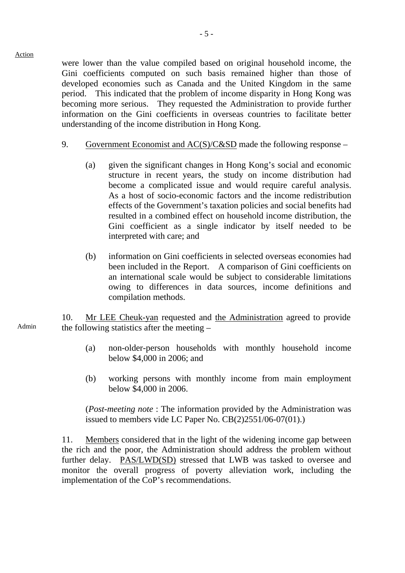were lower than the value compiled based on original household income, the Gini coefficients computed on such basis remained higher than those of developed economies such as Canada and the United Kingdom in the same period. This indicated that the problem of income disparity in Hong Kong was becoming more serious. They requested the Administration to provide further information on the Gini coefficients in overseas countries to facilitate better understanding of the income distribution in Hong Kong.

- 9. Government Economist and AC(S)/C&SD made the following response
	- (a) given the significant changes in Hong Kong's social and economic structure in recent years, the study on income distribution had become a complicated issue and would require careful analysis. As a host of socio-economic factors and the income redistribution effects of the Government's taxation policies and social benefits had resulted in a combined effect on household income distribution, the Gini coefficient as a single indicator by itself needed to be interpreted with care; and
	- (b) information on Gini coefficients in selected overseas economies had been included in the Report. A comparison of Gini coefficients on an international scale would be subject to considerable limitations owing to differences in data sources, income definitions and compilation methods.

10. Mr LEE Cheuk-yan requested and the Administration agreed to provide the following statistics after the meeting –

- (a) non-older-person households with monthly household income below \$4,000 in 2006; and
- (b) working persons with monthly income from main employment below \$4,000 in 2006.

(*Post-meeting note* : The information provided by the Administration was issued to members vide LC Paper No. CB(2)2551/06-07(01).)

11. Members considered that in the light of the widening income gap between the rich and the poor, the Administration should address the problem without further delay. PAS/LWD(SD) stressed that LWB was tasked to oversee and monitor the overall progress of poverty alleviation work, including the implementation of the CoP's recommendations.

Admin

Action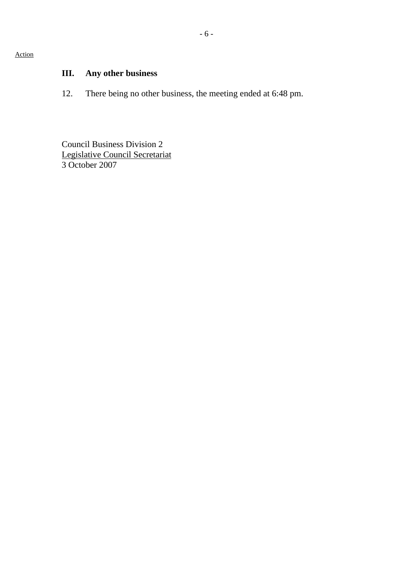Action

# **III. Any other business**

12. There being no other business, the meeting ended at 6:48 pm.

Council Business Division 2 Legislative Council Secretariat 3 October 2007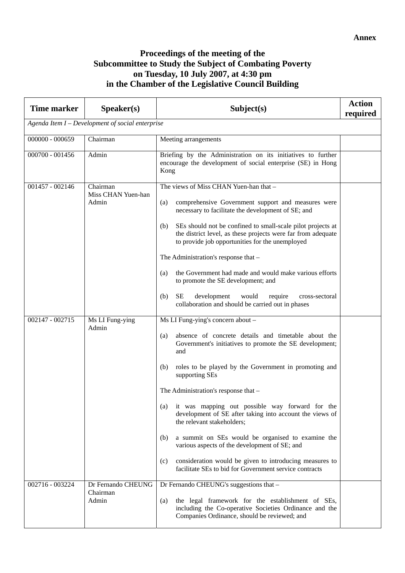# **Proceedings of the meeting of the Subcommittee to Study the Subject of Combating Poverty on Tuesday, 10 July 2007, at 4:30 pm in the Chamber of the Legislative Council Building**

| <b>Time marker</b>                               | Speaker(s)                              | Subject(s)                                                                                                                                                                                                                                                                                                                                                                                                                                                                                                                                                                                                                                                                               | <b>Action</b><br>required |
|--------------------------------------------------|-----------------------------------------|------------------------------------------------------------------------------------------------------------------------------------------------------------------------------------------------------------------------------------------------------------------------------------------------------------------------------------------------------------------------------------------------------------------------------------------------------------------------------------------------------------------------------------------------------------------------------------------------------------------------------------------------------------------------------------------|---------------------------|
| Agenda Item I – Development of social enterprise |                                         |                                                                                                                                                                                                                                                                                                                                                                                                                                                                                                                                                                                                                                                                                          |                           |
| $000000 - 000659$                                | Chairman                                | Meeting arrangements                                                                                                                                                                                                                                                                                                                                                                                                                                                                                                                                                                                                                                                                     |                           |
| $000700 - 001456$                                | Admin                                   | Briefing by the Administration on its initiatives to further<br>encourage the development of social enterprise (SE) in Hong<br>Kong                                                                                                                                                                                                                                                                                                                                                                                                                                                                                                                                                      |                           |
| 001457 - 002146                                  | Chairman<br>Miss CHAN Yuen-han<br>Admin | The views of Miss CHAN Yuen-han that -<br>(a)<br>comprehensive Government support and measures were<br>necessary to facilitate the development of SE; and<br>SEs should not be confined to small-scale pilot projects at<br>(b)<br>the district level, as these projects were far from adequate<br>to provide job opportunities for the unemployed<br>The Administration's response that -<br>the Government had made and would make various efforts<br>(a)<br>to promote the SE development; and<br><b>SE</b><br>development<br>would<br>(b)<br>require<br>cross-sectoral<br>collaboration and should be carried out in phases                                                          |                           |
| 002147 - 002715                                  | Ms LI Fung-ying<br>Admin                | Ms LI Fung-ying's concern about -<br>absence of concrete details and timetable about the<br>(a)<br>Government's initiatives to promote the SE development;<br>and<br>roles to be played by the Government in promoting and<br>(b)<br>supporting SEs<br>The Administration's response that -<br>it was mapping out possible way forward for the<br>(a)<br>development of SE after taking into account the views of<br>the relevant stakeholders;<br>a summit on SEs would be organised to examine the<br>(b)<br>various aspects of the development of SE; and<br>consideration would be given to introducing measures to<br>(c)<br>facilitate SEs to bid for Government service contracts |                           |
| 002716 - 003224                                  | Dr Fernando CHEUNG<br>Chairman<br>Admin | Dr Fernando CHEUNG's suggestions that -<br>the legal framework for the establishment of SEs,<br>(a)<br>including the Co-operative Societies Ordinance and the<br>Companies Ordinance, should be reviewed; and                                                                                                                                                                                                                                                                                                                                                                                                                                                                            |                           |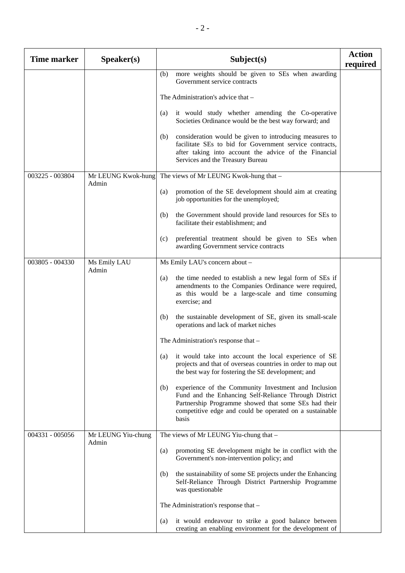| <b>Time marker</b> | S <b>peaker(s)</b>          | Subject(s)                                                                                                                                                                                                                                       | <b>Action</b><br>required |
|--------------------|-----------------------------|--------------------------------------------------------------------------------------------------------------------------------------------------------------------------------------------------------------------------------------------------|---------------------------|
|                    |                             | more weights should be given to SEs when awarding<br>(b)<br>Government service contracts                                                                                                                                                         |                           |
|                    |                             | The Administration's advice that –                                                                                                                                                                                                               |                           |
|                    |                             | it would study whether amending the Co-operative<br>(a)<br>Societies Ordinance would be the best way forward; and                                                                                                                                |                           |
|                    |                             | consideration would be given to introducing measures to<br>(b)<br>facilitate SEs to bid for Government service contracts,<br>after taking into account the advice of the Financial<br>Services and the Treasury Bureau                           |                           |
| 003225 - 003804    | Mr LEUNG Kwok-hung<br>Admin | The views of Mr LEUNG Kwok-hung that -                                                                                                                                                                                                           |                           |
|                    |                             | promotion of the SE development should aim at creating<br>(a)<br>job opportunities for the unemployed;                                                                                                                                           |                           |
|                    |                             | the Government should provide land resources for SEs to<br>(b)<br>facilitate their establishment; and                                                                                                                                            |                           |
|                    |                             | preferential treatment should be given to SEs when<br>(c)<br>awarding Government service contracts                                                                                                                                               |                           |
| 003805 - 004330    | Ms Emily LAU<br>Admin       | Ms Emily LAU's concern about -                                                                                                                                                                                                                   |                           |
|                    |                             | the time needed to establish a new legal form of SEs if<br>(a)<br>amendments to the Companies Ordinance were required,<br>as this would be a large-scale and time consuming<br>exercise; and                                                     |                           |
|                    |                             | the sustainable development of SE, given its small-scale<br>(b)<br>operations and lack of market niches                                                                                                                                          |                           |
|                    |                             | The Administration's response that -                                                                                                                                                                                                             |                           |
|                    |                             | it would take into account the local experience of SE<br>(a)<br>projects and that of overseas countries in order to map out<br>the best way for fostering the SE development; and                                                                |                           |
|                    |                             | experience of the Community Investment and Inclusion<br>(b)<br>Fund and the Enhancing Self-Reliance Through District<br>Partnership Programme showed that some SEs had their<br>competitive edge and could be operated on a sustainable<br>basis |                           |
| 004331 - 005056    | Mr LEUNG Yiu-chung<br>Admin | The views of Mr LEUNG Yiu-chung that -                                                                                                                                                                                                           |                           |
|                    |                             | promoting SE development might be in conflict with the<br>(a)<br>Government's non-intervention policy; and                                                                                                                                       |                           |
|                    |                             | the sustainability of some SE projects under the Enhancing<br>(b)<br>Self-Reliance Through District Partnership Programme<br>was questionable                                                                                                    |                           |
|                    |                             | The Administration's response that -                                                                                                                                                                                                             |                           |
|                    |                             | it would endeavour to strike a good balance between<br>(a)<br>creating an enabling environment for the development of                                                                                                                            |                           |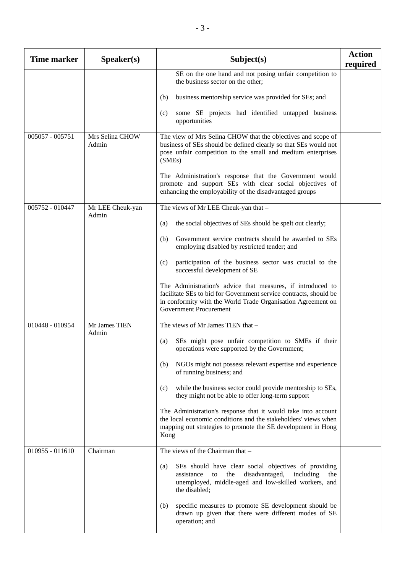| <b>Time marker</b> | Speaker(s)                | Subject(s)                                                                                                                                                                                                                        | <b>Action</b><br>required |
|--------------------|---------------------------|-----------------------------------------------------------------------------------------------------------------------------------------------------------------------------------------------------------------------------------|---------------------------|
|                    |                           | SE on the one hand and not posing unfair competition to<br>the business sector on the other;                                                                                                                                      |                           |
|                    |                           | business mentorship service was provided for SEs; and<br>(b)                                                                                                                                                                      |                           |
|                    |                           | some SE projects had identified untapped business<br>(c)<br>opportunities                                                                                                                                                         |                           |
| $005057 - 005751$  | Mrs Selina CHOW<br>Admin  | The view of Mrs Selina CHOW that the objectives and scope of<br>business of SEs should be defined clearly so that SEs would not<br>pose unfair competition to the small and medium enterprises<br>(SMEs)                          |                           |
|                    |                           | The Administration's response that the Government would<br>promote and support SEs with clear social objectives of<br>enhancing the employability of the disadvantaged groups                                                     |                           |
| 005752 - 010447    | Mr LEE Cheuk-yan<br>Admin | The views of Mr LEE Cheuk-yan that -                                                                                                                                                                                              |                           |
|                    |                           | the social objectives of SEs should be spelt out clearly;<br>(a)                                                                                                                                                                  |                           |
|                    |                           | Government service contracts should be awarded to SEs<br>(b)<br>employing disabled by restricted tender; and                                                                                                                      |                           |
|                    |                           | participation of the business sector was crucial to the<br>(c)<br>successful development of SE                                                                                                                                    |                           |
|                    |                           | The Administration's advice that measures, if introduced to<br>facilitate SEs to bid for Government service contracts, should be<br>in conformity with the World Trade Organisation Agreement on<br><b>Government Procurement</b> |                           |
| 010448 - 010954    | Mr James TIEN<br>Admin    | The views of Mr James TIEN that -                                                                                                                                                                                                 |                           |
|                    |                           | SEs might pose unfair competition to SMEs if their<br>(a)<br>operations were supported by the Government;                                                                                                                         |                           |
|                    |                           | NGOs might not possess relevant expertise and experience<br>(b)<br>of running business; and                                                                                                                                       |                           |
|                    |                           | while the business sector could provide mentorship to SEs,<br>(c)<br>they might not be able to offer long-term support                                                                                                            |                           |
|                    |                           | The Administration's response that it would take into account<br>the local economic conditions and the stakeholders' views when<br>mapping out strategies to promote the SE development in Hong<br>Kong                           |                           |
| $010955 - 011610$  | Chairman                  | The views of the Chairman that -                                                                                                                                                                                                  |                           |
|                    |                           | SEs should have clear social objectives of providing<br>(a)<br>the disadvantaged,<br>including<br>assistance<br>to<br>the<br>unemployed, middle-aged and low-skilled workers, and<br>the disabled;                                |                           |
|                    |                           | specific measures to promote SE development should be<br>(b)<br>drawn up given that there were different modes of SE<br>operation; and                                                                                            |                           |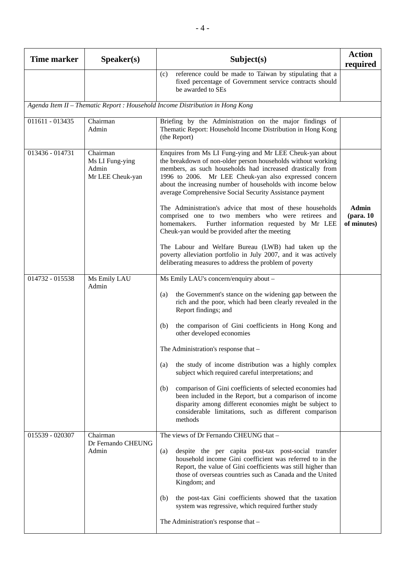| <b>Time marker</b>                                                            | Speaker(s)                                               | Subject(s)                                                                                                                                                                                                                                                                                                                                                                 | <b>Action</b><br>required    |
|-------------------------------------------------------------------------------|----------------------------------------------------------|----------------------------------------------------------------------------------------------------------------------------------------------------------------------------------------------------------------------------------------------------------------------------------------------------------------------------------------------------------------------------|------------------------------|
|                                                                               |                                                          | reference could be made to Taiwan by stipulating that a<br>(c)<br>fixed percentage of Government service contracts should<br>be awarded to SEs                                                                                                                                                                                                                             |                              |
| Agenda Item II - Thematic Report : Household Income Distribution in Hong Kong |                                                          |                                                                                                                                                                                                                                                                                                                                                                            |                              |
| 011611 - 013435                                                               | Chairman<br>Admin                                        | Briefing by the Administration on the major findings of<br>Thematic Report: Household Income Distribution in Hong Kong<br>(the Report)                                                                                                                                                                                                                                     |                              |
| 013436 - 014731                                                               | Chairman<br>Ms LI Fung-ying<br>Admin<br>Mr LEE Cheuk-yan | Enquires from Ms LI Fung-ying and Mr LEE Cheuk-yan about<br>the breakdown of non-older person households without working<br>members, as such households had increased drastically from<br>1996 to 2006. Mr LEE Cheuk-yan also expressed concern<br>about the increasing number of households with income below<br>average Comprehensive Social Security Assistance payment |                              |
|                                                                               |                                                          | The Administration's advice that most of these households<br>comprised one to two members who were retirees and<br>Further information requested by Mr LEE<br>homemakers.<br>Cheuk-yan would be provided after the meeting                                                                                                                                                 | Admin<br>$10$<br>of minutes) |
|                                                                               |                                                          | The Labour and Welfare Bureau (LWB) had taken up the<br>poverty alleviation portfolio in July 2007, and it was actively<br>deliberating measures to address the problem of poverty                                                                                                                                                                                         |                              |
| 014732 - 015538                                                               | Ms Emily LAU<br>Admin                                    | Ms Emily LAU's concern/enquiry about -<br>the Government's stance on the widening gap between the<br>(a)                                                                                                                                                                                                                                                                   |                              |
|                                                                               |                                                          | rich and the poor, which had been clearly revealed in the<br>Report findings; and                                                                                                                                                                                                                                                                                          |                              |
|                                                                               |                                                          | the comparison of Gini coefficients in Hong Kong and<br>(b)<br>other developed economies                                                                                                                                                                                                                                                                                   |                              |
|                                                                               |                                                          | The Administration's response that –                                                                                                                                                                                                                                                                                                                                       |                              |
|                                                                               |                                                          | the study of income distribution was a highly complex<br>(a)<br>subject which required careful interpretations; and                                                                                                                                                                                                                                                        |                              |
|                                                                               |                                                          | comparison of Gini coefficients of selected economies had<br>(b)<br>been included in the Report, but a comparison of income<br>disparity among different economies might be subject to<br>considerable limitations, such as different comparison<br>methods                                                                                                                |                              |
| 015539 - 020307                                                               | Chairman<br>Dr Fernando CHEUNG<br>Admin                  | The views of Dr Fernando CHEUNG that -                                                                                                                                                                                                                                                                                                                                     |                              |
|                                                                               |                                                          | despite the per capita post-tax post-social transfer<br>(a)<br>household income Gini coefficient was referred to in the<br>Report, the value of Gini coefficients was still higher than<br>those of overseas countries such as Canada and the United<br>Kingdom; and                                                                                                       |                              |
|                                                                               |                                                          | the post-tax Gini coefficients showed that the taxation<br>(b)<br>system was regressive, which required further study                                                                                                                                                                                                                                                      |                              |
|                                                                               |                                                          | The Administration's response that -                                                                                                                                                                                                                                                                                                                                       |                              |